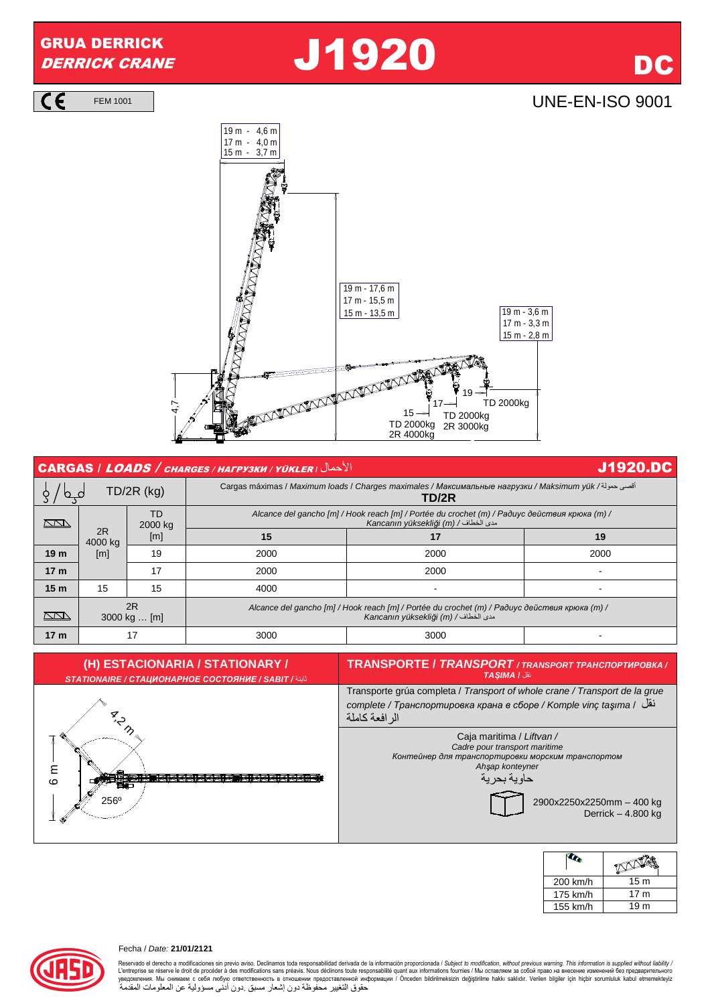## GRUA DERRICK

## GRUA DERRICK **J1920** DC

 $\overline{\mathsf{CE}}$ 

FEM 1001 | **UNE-EN-ISO 9001** 



| الأحمال   CARGAS / LOADS / CHARGES / HAFPY3KH / YÜKLER<br><b>J1920.DC</b> |                    |               |                                                                                                                                       |                                                                                                                                       |      |  |
|---------------------------------------------------------------------------|--------------------|---------------|---------------------------------------------------------------------------------------------------------------------------------------|---------------------------------------------------------------------------------------------------------------------------------------|------|--|
| $TD/2R$ (kg)                                                              |                    |               |                                                                                                                                       | أقصى حمولة/ Carqas máximas / Maximum loads / Charqes maximales / Максимальные нагрузки / Maksimum yük<br>TD/2R                        |      |  |
| $\sum$                                                                    |                    | TD<br>2000 kg |                                                                                                                                       | Alcance del gancho [m] / Hook reach [m] / Portée du crochet (m) / Радиус действия крюка (m) /<br>Kancanın yüksekliği (m) / مدى الخطاف |      |  |
|                                                                           | 2R<br>4000 kg      | [m]           | 15                                                                                                                                    | 17                                                                                                                                    | 19   |  |
| 19 <sub>m</sub>                                                           | [m]                | 19            | 2000                                                                                                                                  | 2000                                                                                                                                  | 2000 |  |
| 17 <sub>m</sub>                                                           |                    | 17            | 2000                                                                                                                                  | 2000                                                                                                                                  |      |  |
| 15 <sub>m</sub>                                                           | 15                 | 15            | 4000                                                                                                                                  |                                                                                                                                       |      |  |
| $\sum$                                                                    | 2R<br>3000 kg  [m] |               | Alcance del gancho [m] / Hook reach [m] / Portée du crochet (m) / Радиус действия крюка (m) /<br>Kancanın yüksekliği (m) / مدى الخطاف |                                                                                                                                       |      |  |
| 17 <sub>m</sub>                                                           | 17                 |               | 3000                                                                                                                                  | 3000                                                                                                                                  |      |  |



| 200 km/h | 15 <sub>m</sub> |
|----------|-----------------|
| 175 km/h | 17 <sub>m</sub> |
| 155 km/h | 19 <sub>m</sub> |

## Fecha / Date: **21/01/2121**

Reservado el derecho a modificaciones sin previo aviso. Declinamos toda responsabilidad derivada de la información proporcionada / Subject to modification without previous warning. This information is supplied without liab L'entreprise se réserve le droit de procéder à des modifications sans préavis. Nous déclinons toure erapposabilité quant aux informations fournies / Мы оставляем за собой право на внесение изменений без предварительного<br>у حقوق التغيير محفوظة دون إشعار مسبق .دون أدنى مسؤولية عن المعلومات المقدمة